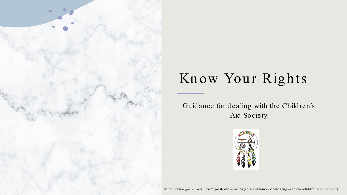

# Know Your Rights

Guidance for dealing with the Children's Aid Society



https://www.gottlieblawfirm.com/post/know-your-rights-guidance-for-dealing-with-the-children-s-aid-society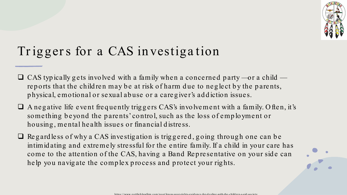

## Triggers for a CAS investigation

- $\Box$  CAS typically gets involved with a family when a concerned party -- or a child reports that the children may be at risk of harm due to neglect by the parents, physical, emotional or sexual abuse or a caregiver's addiction issues.
- $\Box$  A negative life event frequently triggers CAS's involvement with a family. Often, it's something beyond the parents' control, such as the loss of employment or housing, mental health issues or financial distress.
- $\Box$  Regardless of why a CAS investigation is triggered, going through one can be intimidating and extremely stressful for the entire family. If a child in your care has come to the attention of the CAS, having a Band Representative on your side can help you navigate the complex process and protect your rights.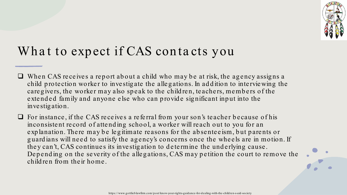

### What to expect if CAS contacts you

- $\Box$  When CAS receives a report about a child who may be at risk, the agency assigns a child protection worker to investigate the allegations. In addition to interviewing the care givers, the worker may also speak to the children, teachers, members of the extended family and anyone else who can provide significant input into the inve stig ation.
- $\Box$  For instance, if the CAS receives a referral from your son's teacher because of his inconsistent record of attending school, a worker will reach out to you for an explanation. There may be legitimate reasons for the absenteeism, but parents or guardians will need to satisfy the agency's concerns once the wheels are in motion. If they can't, CAS continues its investigation to determine the underlying cause. Depending on the severity of the allegations, CAS may petition the court to remove the child ren from the ir home.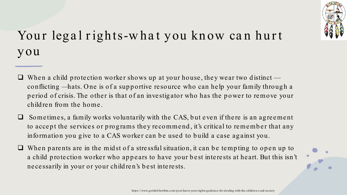

## Your legal rights-what you know can hurt you

- $\Box$  When a child protection worker shows up at your house, they wear two distinct conflicting —hats. One is of a supportive resource who can help your family through a period of crisis. The other is that of an investigator who has the power to remove your child ren from the home.
- Sometimes, a family works voluntarily with the CAS, but even if there is an agreement to accept the services or programs they recommend, it's critical to remember that any information you give to a CAS worker can be used to build a case against you.
- When parents are in the midst of a stressful situation, it can be tempting to open up to a child protection worker who appears to have your best interests at heart. But this isn't ne ce ssarily in your or your child re n's b e st inte re sts.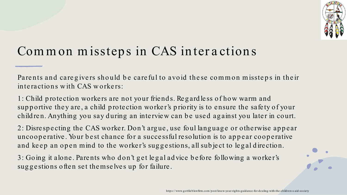

#### Common missteps in CAS interactions

Parents and caregivers should be careful to avoid these common missteps in their interactions with CAS workers:

1: Child protection workers are not your friends. Regardless of how warm and supportive they are, a child protection worker's priority is to ensure the safety of your children. Anything you say during an interview can be used against you later in court.

2: Disrespecting the CAS worker. Don't argue, use foul language or otherwise appear uncooperative. Your best chance for a successful resolution is to appear cooperative and keep an open mind to the worker's suggestions, all subject to legal direction.

3: Going it alone. Parents who don't get legal advice before following a worker's suggestions often set themselves up for failure.